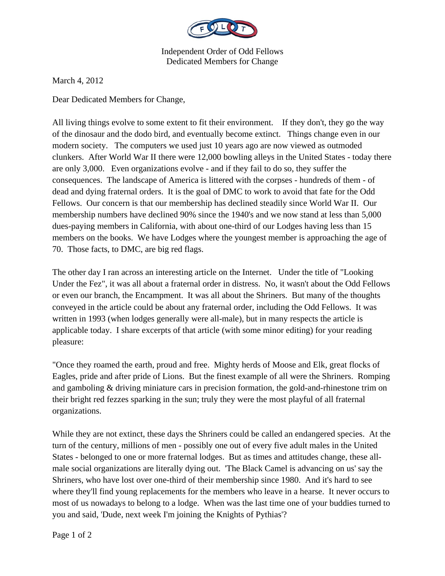

Independent Order of Odd Fellows Dedicated Members for Change

March 4, 2012

Dear Dedicated Members for Change,

All living things evolve to some extent to fit their environment. If they don't, they go the way of the dinosaur and the dodo bird, and eventually become extinct. Things change even in our modern society. The computers we used just 10 years ago are now viewed as outmoded clunkers. After World War II there were 12,000 bowling alleys in the United States - today there are only 3,000. Even organizations evolve - and if they fail to do so, they suffer the consequences. The landscape of America is littered with the corpses - hundreds of them - of dead and dying fraternal orders. It is the goal of DMC to work to avoid that fate for the Odd Fellows. Our concern is that our membership has declined steadily since World War II. Our membership numbers have declined 90% since the 1940's and we now stand at less than 5,000 dues-paying members in California, with about one-third of our Lodges having less than 15 members on the books. We have Lodges where the youngest member is approaching the age of 70. Those facts, to DMC, are big red flags.

The other day I ran across an interesting article on the Internet. Under the title of "Looking Under the Fez", it was all about a fraternal order in distress. No, it wasn't about the Odd Fellows or even our branch, the Encampment. It was all about the Shriners. But many of the thoughts conveyed in the article could be about any fraternal order, including the Odd Fellows. It was written in 1993 (when lodges generally were all-male), but in many respects the article is applicable today. I share excerpts of that article (with some minor editing) for your reading pleasure:

"Once they roamed the earth, proud and free. Mighty herds of Moose and Elk, great flocks of Eagles, pride and after pride of Lions. But the finest example of all were the Shriners. Romping and gamboling & driving miniature cars in precision formation, the gold-and-rhinestone trim on their bright red fezzes sparking in the sun; truly they were the most playful of all fraternal organizations.

While they are not extinct, these days the Shriners could be called an endangered species. At the turn of the century, millions of men - possibly one out of every five adult males in the United States - belonged to one or more fraternal lodges. But as times and attitudes change, these allmale social organizations are literally dying out. 'The Black Camel is advancing on us' say the Shriners, who have lost over one-third of their membership since 1980. And it's hard to see where they'll find young replacements for the members who leave in a hearse. It never occurs to most of us nowadays to belong to a lodge. When was the last time one of your buddies turned to you and said, 'Dude, next week I'm joining the Knights of Pythias'?

Page 1 of 2